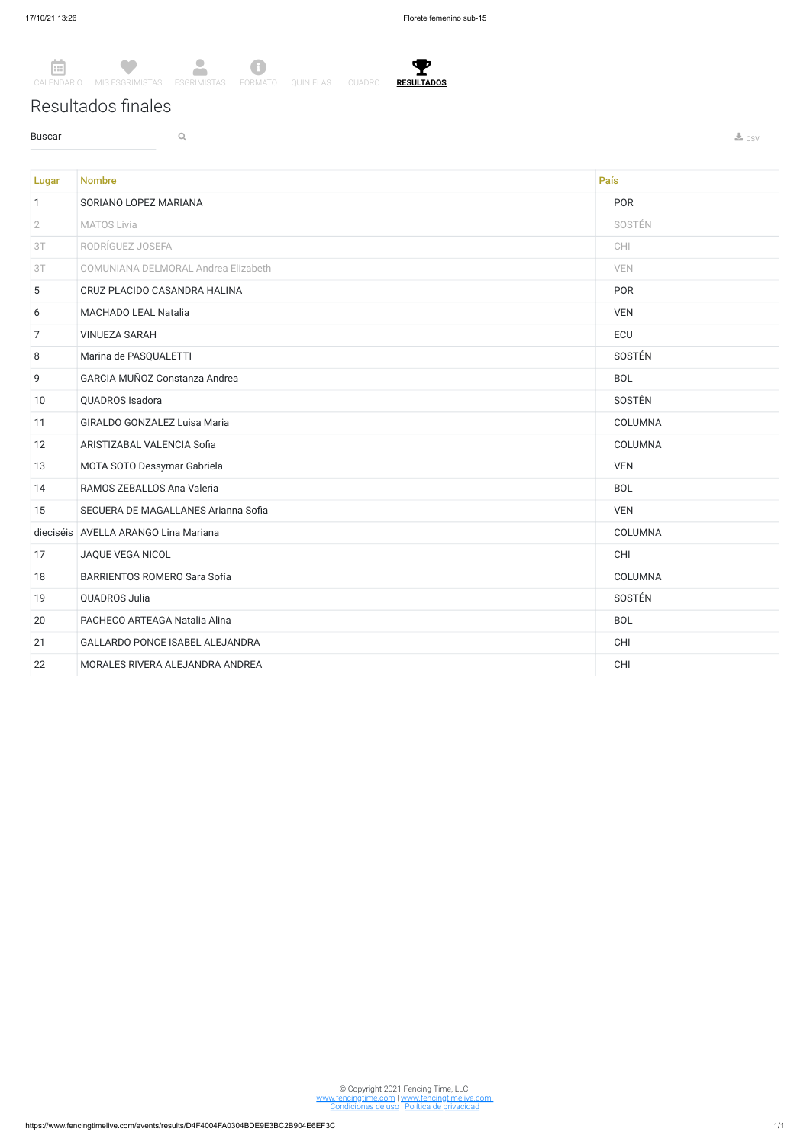Ÿ. **RESULTADOS**

Resultados finales

**Buscar Q Q** 



Lugar Nombre País (1999), a comparador de la constructió de la comparador de la comparador de la comparador de 1 SORIANO LOPEZ MARIANA PORTA E EL ENTRE EL ENTRE EL ENTRE EL ENTRE EL ENTRE EL ENTRE EL ENTRE EL ENTRE EL ENT 2 MATOS Livia SOSTÉN 3T RODRÍGUEZ JOSEFA CHI 3T COMUNIANA DELMORAL Andrea Elizabeth VEN 5 CRUZ PLACIDO CASANDRA HALINA POR ESTADO EN EL ENTREGADO EN EL ENTREGADO EN EL ENTREGADO EN EL ENTREGADO EN EL ENTREGADO EN EL ENTREGADO EN EL ENTREGADO EN EL ENTREGADO EN EL ENTREGADO EN EL ENTREGADO EN EL ENTREGADO EN E 6 MACHADO LEAL Natalia VEN 7 VINUEZA SARAH ECU 8 Marina de PASQUALETTI 9 GARCIA MUÑOZ Constanza Andrea BOL 10 QUADROS Isadora SOSTÉN 11 GIRALDO GONZALEZ Luisa Maria COLUMNA 12 ARISTIZABAL VALENCIA Sofia COLUMNA 13 MOTA SOTO Dessymar Gabriela version of the state of the state of the VEN VEN 14 RAMOS ZEBALLOS Ana Valeria BOL 15 SECUERA DE MAGALLANES Arianna Sofia VEN dieciséis AVELLA ARANGO Lina Mariana COLUMNA 17 JAQUE VEGA NICOL CHI 18 BARRIENTOS ROMERO Sara Sofía COLUMNA 19 QUADROS Julia SOSTÉN 20 PACHECO ARTEAGA Natalia Alina BOL 20 PACHECO ARTEAGA Natalia Alina 21 GALLARDO PONCE ISABEL ALEJANDRA CHI 22 MORALES RIVERA ALEJANDRA ANDREA CHI

© Copyright 2021 Fencing Time, LLC www.fencingtime.com | www.fencingtimelive.com Condiciones de uso | Política de privacidad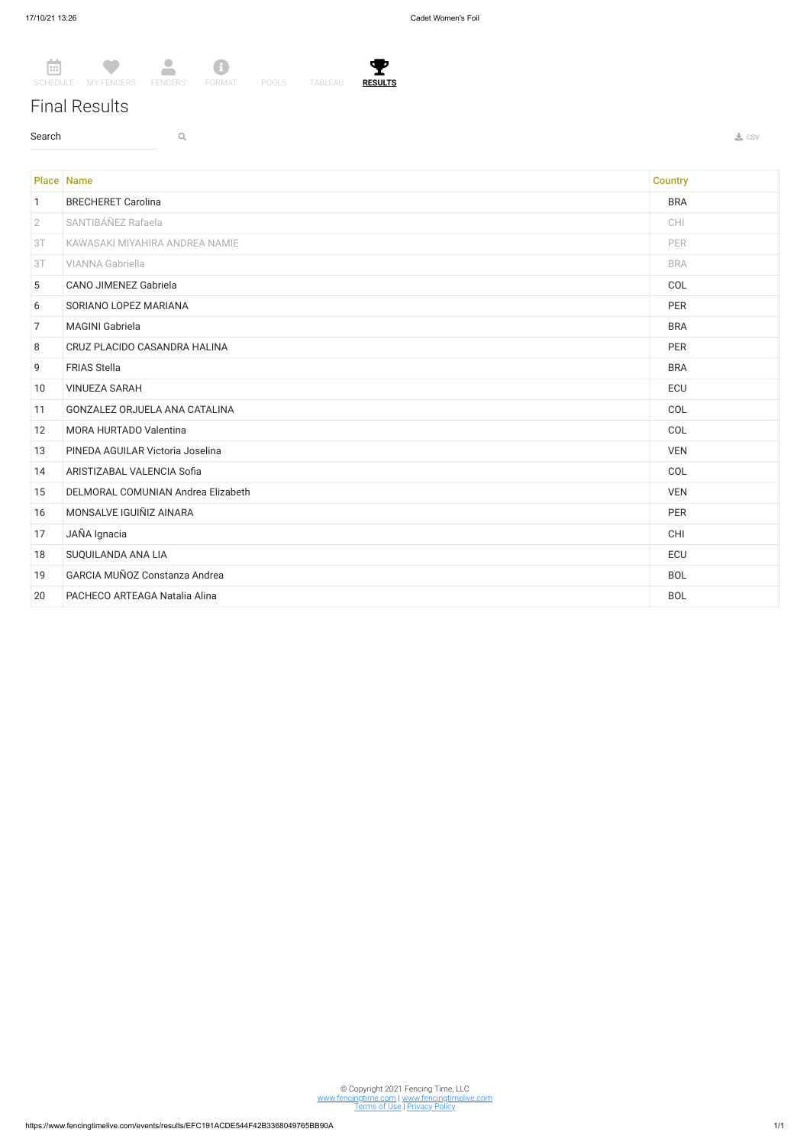T

## Final Results

 $\sim$  Search  $\sim$  Q. The contract of the contract of the contract of the contract of the contract of the contract of the contract of the contract of the contract of the contract of the contract of the contract of the contr



© Copyright 2021 Fencing Time, LLC www.fencingtime.com | www.fencingtimelive.com <u>Terms of Use | Privacy Policy</u>

|                | <b>Place Name</b>                    | <b>Country</b> |
|----------------|--------------------------------------|----------------|
| $\mathbf{1}$   | <b>BRECHERET Carolina</b>            | <b>BRA</b>     |
| $\overline{2}$ | SANTIBÁÑEZ Rafaela                   | <b>CHI</b>     |
| 3T             | KAWASAKI MIYAHIRA ANDREA NAMIE       | PER            |
| 3T             | <b>VIANNA Gabriella</b>              | <b>BRA</b>     |
| 5              | <b>CANO JIMENEZ Gabriela</b>         | COL            |
| 6              | SORIANO LOPEZ MARIANA                | <b>PER</b>     |
| $\overline{7}$ | <b>MAGINI Gabriela</b>               | <b>BRA</b>     |
| 8              | CRUZ PLACIDO CASANDRA HALINA         | <b>PER</b>     |
| 9              | <b>FRIAS Stella</b>                  | <b>BRA</b>     |
| 10             | <b>VINUEZA SARAH</b>                 | ECU            |
| 11             | <b>GONZALEZ ORJUELA ANA CATALINA</b> | COL            |
| 12             | MORA HURTADO Valentina               | COL            |
| 13             | PINEDA AGUILAR Victoria Joselina     | <b>VEN</b>     |
| 14             | ARISTIZABAL VALENCIA Sofia           | COL            |
| 15             | DELMORAL COMUNIAN Andrea Elizabeth   | <b>VEN</b>     |
| 16             | MONSALVE IGUIÑIZ AINARA              | <b>PER</b>     |
| 17             | JAÑA Ignacia                         | <b>CHI</b>     |
| 18             | SUQUILANDA ANA LIA                   | ECU            |
| 19             | GARCIA MUÑOZ Constanza Andrea        | <b>BOL</b>     |
| 20             | PACHECO ARTEAGA Natalia Alina        | <b>BOL</b>     |